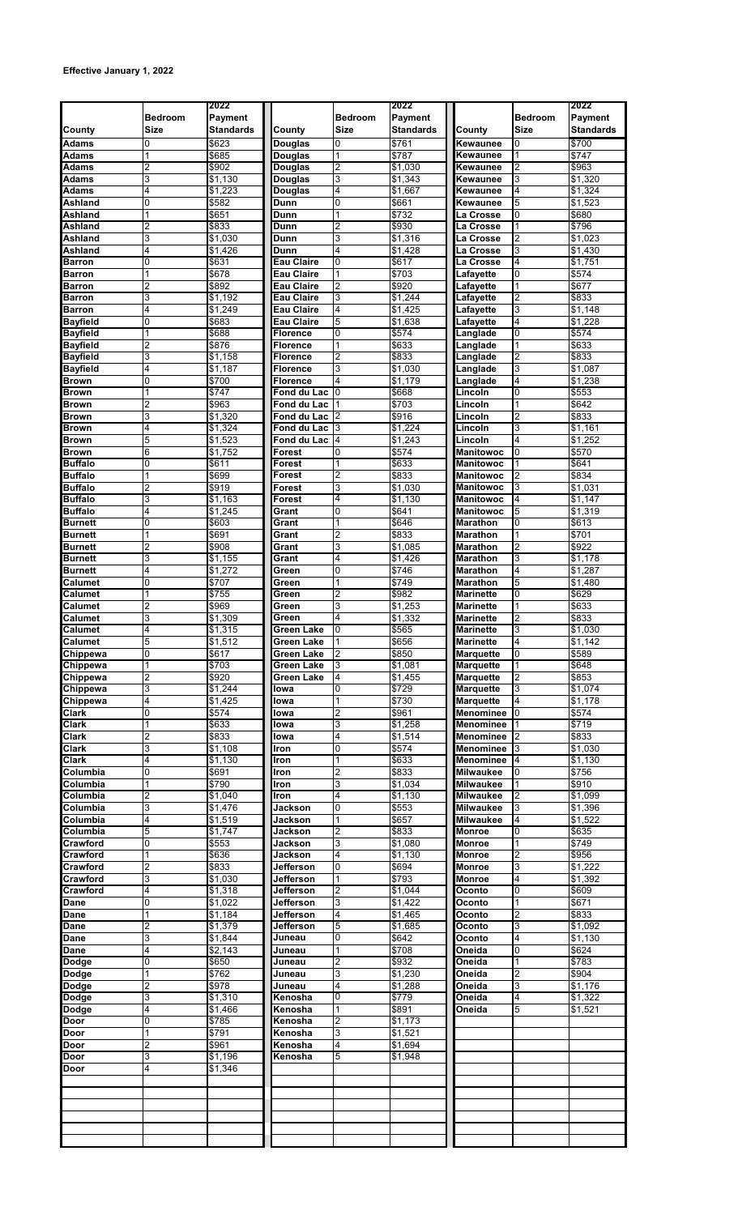|                  |                | 2022                |                        |                          | 2022               |                  |                | 2022                |
|------------------|----------------|---------------------|------------------------|--------------------------|--------------------|------------------|----------------|---------------------|
|                  | <b>Bedroom</b> | Payment             |                        | <b>Bedroom</b>           | Payment            |                  | <b>Bedroom</b> | Payment             |
| <b>County</b>    | <b>Size</b>    | Standards           | County                 | <b>Size</b>              | <b>Standards</b>   | County           | <b>Size</b>    | <b>Standards</b>    |
| <b>Adams</b>     | 0              | \$623               | <b>Douglas</b>         | 0                        | \$761              | Kewaunee         | 0              | \$700               |
|                  |                |                     |                        | 1                        | \$787              |                  | 1              | \$747               |
| <b>Adams</b>     |                | \$685               | Douglas                |                          |                    | Kewaunee         |                |                     |
| Adams            | 2              | \$902               | Douglas                | $\overline{2}$           | \$1,030            | Kewaunee         | $\overline{2}$ | \$963               |
| Adams            | 3              | \$1,130             | Douglas                | 3                        | \$1,343            | Kewaunee         | 3              | \$1,320             |
| <b>Adams</b>     | 4              | \$1,223             | Douglas                | 4                        | \$1,667            | Kewaunee         | $\overline{4}$ | \$1,324             |
| Ashland          | 0              | \$582               | Dunn                   | $\overline{0}$           | \$661              | Kewaunee         | 5              | \$1,523             |
| Ashland          | 1              | \$651               | Dunn                   | 1                        | \$732              | a Crosse.        | 0              | \$680               |
| <b>Ashland</b>   | $\overline{2}$ | \$833               | Dunn                   | $\overline{2}$           | \$930              | La Crosse        | $\mathbf{1}$   | \$796               |
| <b>Ashland</b>   | 3              | \$1,030             | Dunn                   | 3                        | \$1,316            | La Crosse        | $\overline{2}$ | \$1,023             |
| Ashland          | 4              | \$1,426             | Dunn                   | $\overline{4}$           | \$1,428            | La Crosse        | 3              | \$1,430             |
| Barron           | 0              | \$631               | Eau Claire             | 0                        | \$617              | La Crosse        | 4              | \$1,751             |
| <b>Barron</b>    | 1              | \$678               | Eau Claire             | 1                        | \$703              | Lafavette        | 0              | \$574               |
| <b>Barron</b>    | $\overline{2}$ | \$892               | Eau Claire             | $\overline{2}$           | \$920              | Lafayette        | $\overline{1}$ | \$677               |
| <b>Barron</b>    | 3              | \$1,192             | Eau Claire             | 3                        | \$1,244            | Lafayette        | $\overline{2}$ | \$833               |
| Barron           | 4              | \$1,249             | Eau Claire             | 4                        | \$1,425            | Lafayette        | 3              | \$1,148             |
| <b>Bayfield</b>  | 0              | \$683               | Eau Claire             | 5                        | \$1,638            | Lafayette        | 4              | \$1,228             |
| <b>Bayfield</b>  | 1              | \$688               | <b>Florence</b>        | 0                        | \$574              | Langlade         | 0              | \$574               |
| <b>Bayfield</b>  | $\overline{c}$ | \$876               | Florence               | 1                        | \$633              | _anglade         | 1              | \$633               |
| <b>Bayfield</b>  | 3              | \$1,158             | Florence               | $\overline{2}$           | \$833              |                  | $\overline{2}$ | \$833               |
|                  |                |                     |                        |                          |                    | Langlade         |                |                     |
| <b>Bayfield</b>  | 4              | \$1,187             | Florence               | 3                        | \$1.030            | Langlade         | 3              | \$1,087             |
| <b>Brown</b>     | 0              | \$700               | Florence               | 4                        | \$1,179            | <b>Langlade</b>  | 4              | \$1,238             |
| <b>Brown</b>     | 1              | \$747               | Fond du Lac            | 0                        | \$668              | Lincoln          | 0              | \$553               |
| <b>Brown</b>     | $\overline{2}$ | \$963               | Fond du Lac            |                          | \$703              | Lincoln          | $\mathbf{1}$   | \$642               |
| <b>Brown</b>     | $\overline{3}$ | \$1.320             | Fond du Lac            | 2                        | \$916              | Lincoln          | 2              | \$833               |
| <b>Brown</b>     | 4              | \$1,324             | Fond du Lac            | 3                        | \$1,224            | Lincoln          | 3              | $\overline{$}1,161$ |
| <b>Brown</b>     | 5              | \$1,523             | Fond du Lac            | 4                        | \$1,243            | Lincoln          | 4              | \$1,252             |
| <b>Brown</b>     | 6              | \$1,752             | Forest                 | $\overline{0}$           | \$574              | <b>Manitowoc</b> | $\overline{0}$ | \$570               |
| <b>Buffalo</b>   | 0              | \$611               | Forest                 | 1                        | \$633              | Manitowoc        |                | \$641               |
| <b>Buffalo</b>   | 1              | \$699               | Forest                 | $\overline{2}$           | \$833              | Manitowoc        | 2              | \$834               |
| <b>Buffalo</b>   | 2              | \$919               | Forest                 | 3                        | \$1,030            | <b>Manitowoc</b> | 3              | \$1,031             |
| <b>Buffalo</b>   | 3              | \$1,163             | Forest                 | $\overline{4}$           | \$1,130            | <b>Manitowoc</b> | 4              | \$1,147             |
| Buffalo          | 4              | \$1,245             | Grant                  | 0                        | \$641              | <b>Manitowoc</b> | 5              | \$1,319             |
| <b>Burnett</b>   | 0              | \$603               | Grant                  | $\mathbf{1}$             | \$646              | <b>Marathon</b>  | 0              | \$613               |
| <b>Burnett</b>   | 1              | \$691               | Grant                  | $\overline{2}$           | \$833              | <b>Marathon</b>  | 1              | \$701               |
| <b>Burnett</b>   | $\overline{2}$ | \$908               | Grant                  | 3                        | \$1,085            | <b>Marathon</b>  | $\overline{2}$ | \$922               |
| <b>Burnett</b>   | 3              | \$1,155             | Grant                  | 4                        | \$1,426            | Marathon         | 3              | \$1,178             |
| <b>Burnett</b>   | 4              | \$1,272             | Green                  | 0                        | \$746              | <b>Marathon</b>  | $\overline{4}$ | \$1,287             |
| Calumet          | $\overline{0}$ | \$707               | Green                  | 1                        | \$749              | <b>Marathon</b>  | 5              | \$1.480             |
| Calumet          | 1              | \$755               | Green                  | $\overline{2}$           | \$982              | Marinette        | 0              | \$629               |
| Calumet          | 2              | \$969               | Green                  | 3                        | \$1,253            | <b>Marinette</b> | 1              | \$633               |
|                  | 3              | $\overline{$}1,309$ | Green                  | 4                        | \$1,332            | <b>Marinette</b> | $\overline{2}$ | \$833               |
| Calumet          |                |                     | Green Lake             | 0                        |                    |                  |                |                     |
| Calumet          | 4              | \$1,315             |                        |                          | \$565              | Marinette        | 3              | \$1,030             |
| Calumet          | 5<br>0         | \$1,512             | Green Lake             | $\overline{2}$           | \$656              | warınette        | $\Omega$       | \$1,142             |
| Chippewa         |                | \$617               | Green Lake             |                          | \$850              | <b>Marquette</b> |                | \$589               |
| Chippewa         | 1              | \$703               | Green Lake             | 3                        | \$1,081            | <b>Marquette</b> | 1              | \$648               |
| Chippewa         | 2              | \$920               | Green Lake             | 4                        | \$1,455            | <b>Marquette</b> | $\overline{2}$ | \$853               |
| Chippewa         | 3              | \$1.244             | lowa                   | 0                        | \$729              | <b>Marquette</b> | 3              | \$1,074             |
| Chippewa         | 4              | \$1,425             | lowa                   |                          | \$730              | <b>Marquette</b> | 4              | \$1,178             |
| <b>Clark</b>     | 0              | \$574               | owa                    | 2                        | \$961              | <b>Menominee</b> | O              | \$574               |
| <b>Clark</b>     | 1              | \$633               | owa                    | 3                        | \$1,258            | Menominee        |                | \$719               |
| <b>Clark</b>     | 2              | \$833               | lowa                   | 4                        | \$1,514            | <b>Menominee</b> | 12             | \$833               |
| <b>Clark</b>     | 3              | \$1,108             | Iron                   | $\overline{0}$           | \$574              | <b>Menominee</b> | IЗ             | \$1,030             |
| Clark            | 4              | \$1,130             | Iron                   | $\mathbf{1}$             | \$633              | Menominee        | 4              | \$1,130             |
| Columbia         | 0              | \$691               | Iron                   | 2                        | \$833              | <b>Milwaukee</b> | 0              | \$756               |
| Columbia         |                | \$790               | Iron                   | 3                        | \$1,034            | <b>Milwaukee</b> |                | \$910               |
| Columbia         | 2              | \$1,040             | Iron                   | 4                        | \$1,130            | <b>Milwaukee</b> | 2              | \$1,099             |
| Columbia         | 3              | \$1,476             | Jackson                | 0                        | \$553              | <b>Milwaukee</b> | 3              | \$1,396             |
| Columbia         | 4              | \$1,519             | Jackson                | $\mathbf{1}$             | \$657              | <b>Milwaukee</b> | 4              | \$1,522             |
| Columbia         | 5              | \$1,747             | Jackson                | $\overline{2}$           | \$833              | <b>Monroe</b>    | 0              | \$635               |
| Crawford         | 0              | \$553               | Jackson                | 3                        | \$1,080            | <b>Monroe</b>    | $\mathbf{1}$   | \$749               |
| Crawford         | 1              | \$636               | Jackson                | 4                        | \$1,130            | Monroe           | $\overline{2}$ | \$956               |
| <b>Crawford</b>  | 2              | \$833               | Jefferson              | 0                        | \$694              | <b>Monroe</b>    | 3              | \$1,222             |
| Crawford         | 3              | \$1,030             | Jefferson              | 1                        | \$793              | <b>Monroe</b>    | 4              | \$1,392             |
|                  |                |                     |                        |                          |                    |                  | 0              |                     |
| Crawford<br>Dane | 4<br>0         | \$1,318<br>\$1,022  | Jefferson<br>Jefferson | $\overline{2}$<br>3      | \$1,044<br>\$1,422 | Oconto<br>Oconto |                | \$609<br>\$671      |
| <b>Dane</b>      |                | $\overline{$}1,184$ | Jefferson              | $\overline{\mathcal{A}}$ | \$1,465            | Oconto           | $\overline{2}$ | \$833               |
|                  |                |                     |                        |                          |                    |                  |                |                     |
| Dane<br>Dane     | 2<br>3         | \$1,379<br>\$1,844  | Jefferson<br>Juneau    | 5<br>0                   | \$1,685<br>\$642   | Oconto<br>Oconto | 3<br>4         | \$1,092<br>\$1,130  |
| <b>Dane</b>      | 4              | \$2,143             |                        | 1                        | \$708              | Oneida           | 0              | \$624               |
|                  |                |                     | Juneau                 |                          |                    |                  |                |                     |
| <b>Dodge</b>     | 0              | \$650               | Juneau                 | $\overline{2}$           | \$932              | Oneida           | $\overline{1}$ | \$783               |
| <b>Dodge</b>     |                | \$762               | Juneau                 | 3                        | \$1,230            | Oneida           | 2              | \$904               |
| <b>Dodge</b>     | $\overline{2}$ | \$978               | Juneau                 | $\overline{4}$           | \$1,288            | Oneida           | 3              | \$1,176             |
| <b>Dodge</b>     | 3              | \$1,310             | Kenosha                | 0                        | \$779              | Oneida           | 4              | \$1,322             |
| Dodge            | 4              | \$1,466             | Kenosha                | 1                        | \$891              | Oneida           | 5              | \$1,521             |
| <b>Door</b>      | 0              | \$785               | Kenosha                | $\overline{2}$           | \$1,173            |                  |                |                     |
| Door             | 1              | \$791               | Kenosha                | 3                        | \$1,521            |                  |                |                     |
| <b>Door</b>      | 2              | \$961               | Kenosha                | 4                        | \$1,694            |                  |                |                     |
| <b>Door</b>      | 3              | \$1,196             | Kenosha                | 5                        | \$1,948            |                  |                |                     |
| Door             | 4              | \$1,346             |                        |                          |                    |                  |                |                     |
|                  |                |                     |                        |                          |                    |                  |                |                     |
|                  |                |                     |                        |                          |                    |                  |                |                     |
|                  |                |                     |                        |                          |                    |                  |                |                     |
|                  |                |                     |                        |                          |                    |                  |                |                     |
|                  |                |                     |                        |                          |                    |                  |                |                     |
|                  |                |                     |                        |                          |                    |                  |                |                     |